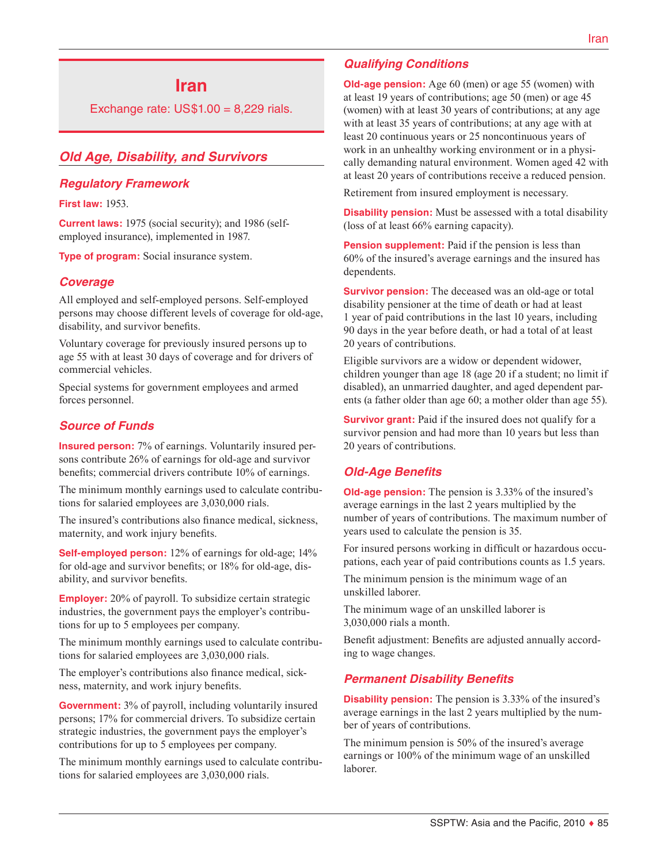# **Iran**

Exchange rate:  $US$1.00 = 8,229$  rials.

# *Old Age, Disability, and Survivors*

#### *Regulatory Framework*

**First law:** 1953.

**Current laws:** 1975 (social security); and 1986 (selfemployed insurance), implemented in 1987.

**Type of program:** Social insurance system.

#### *Coverage*

All employed and self-employed persons. Self-employed persons may choose different levels of coverage for old-age, disability, and survivor benefits.

Voluntary coverage for previously insured persons up to age 55 with at least 30 days of coverage and for drivers of commercial vehicles.

Special systems for government employees and armed forces personnel.

## *Source of Funds*

**Insured person:** 7% of earnings. Voluntarily insured persons contribute 26% of earnings for old-age and survivor benefits; commercial drivers contribute 10% of earnings.

The minimum monthly earnings used to calculate contributions for salaried employees are 3,030,000 rials.

The insured's contributions also finance medical, sickness, maternity, and work injury benefits.

**Self-employed person:** 12% of earnings for old-age; 14% for old-age and survivor benefits; or 18% for old-age, disability, and survivor benefits.

**Employer:** 20% of payroll. To subsidize certain strategic industries, the government pays the employer's contributions for up to 5 employees per company.

The minimum monthly earnings used to calculate contributions for salaried employees are 3,030,000 rials.

The employer's contributions also finance medical, sickness, maternity, and work injury benefits.

**Government:** 3% of payroll, including voluntarily insured persons; 17% for commercial drivers. To subsidize certain strategic industries, the government pays the employer's contributions for up to 5 employees per company.

The minimum monthly earnings used to calculate contributions for salaried employees are 3,030,000 rials.

#### *Qualifying Conditions*

**Old-age pension:** Age 60 (men) or age 55 (women) with at least 19 years of contributions; age 50 (men) or age 45 (women) with at least 30 years of contributions; at any age with at least 35 years of contributions; at any age with at least 20 continuous years or 25 noncontinuous years of work in an unhealthy working environment or in a physically demanding natural environment. Women aged 42 with at least 20 years of contributions receive a reduced pension.

Retirement from insured employment is necessary.

**Disability pension:** Must be assessed with a total disability (loss of at least 66% earning capacity).

**Pension supplement:** Paid if the pension is less than 60% of the insured's average earnings and the insured has dependents.

**Survivor pension:** The deceased was an old-age or total disability pensioner at the time of death or had at least 1 year of paid contributions in the last 10 years, including 90 days in the year before death, or had a total of at least 20 years of contributions.

Eligible survivors are a widow or dependent widower, children younger than age 18 (age 20 if a student; no limit if disabled), an unmarried daughter, and aged dependent parents (a father older than age 60; a mother older than age 55).

**Survivor grant:** Paid if the insured does not qualify for a survivor pension and had more than 10 years but less than 20 years of contributions.

#### *Old-Age Benefits*

**Old-age pension:** The pension is 3.33% of the insured's average earnings in the last 2 years multiplied by the number of years of contributions. The maximum number of years used to calculate the pension is 35.

For insured persons working in difficult or hazardous occupations, each year of paid contributions counts as 1.5 years.

The minimum pension is the minimum wage of an unskilled laborer.

The minimum wage of an unskilled laborer is 3,030,000 rials a month.

Benefit adjustment: Benefits are adjusted annually according to wage changes.

#### *Permanent Disability Benefits*

**Disability pension:** The pension is 3.33% of the insured's average earnings in the last 2 years multiplied by the number of years of contributions.

The minimum pension is 50% of the insured's average earnings or 100% of the minimum wage of an unskilled laborer.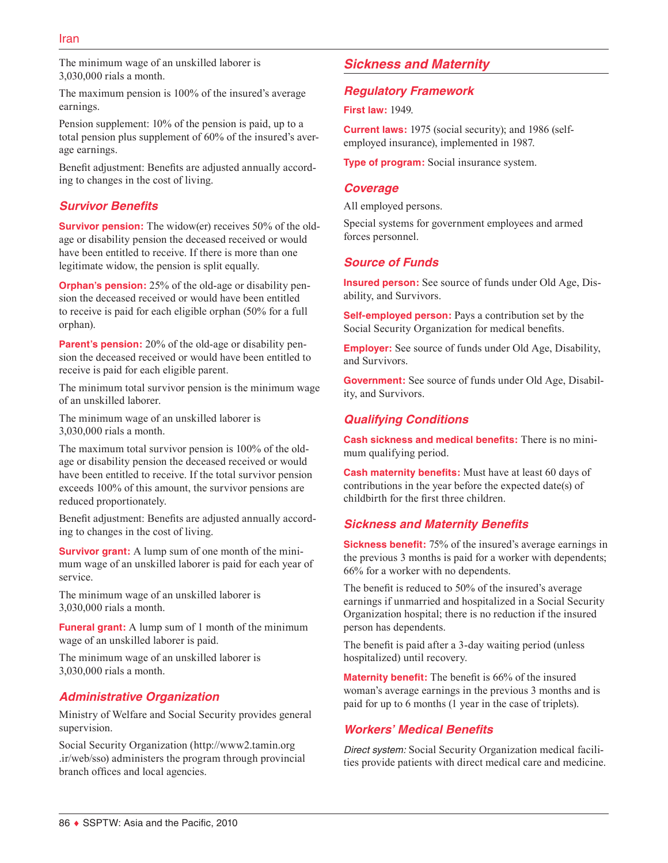The minimum wage of an unskilled laborer is 3,030,000 rials a month.

The maximum pension is 100% of the insured's average earnings.

Pension supplement: 10% of the pension is paid, up to a total pension plus supplement of 60% of the insured's average earnings.

Benefit adjustment: Benefits are adjusted annually according to changes in the cost of living.

# *Survivor Benefits*

**Survivor pension:** The widow(er) receives 50% of the oldage or disability pension the deceased received or would have been entitled to receive. If there is more than one legitimate widow, the pension is split equally.

**Orphan's pension:** 25% of the old-age or disability pension the deceased received or would have been entitled to receive is paid for each eligible orphan (50% for a full orphan).

**Parent's pension:** 20% of the old-age or disability pension the deceased received or would have been entitled to receive is paid for each eligible parent.

The minimum total survivor pension is the minimum wage of an unskilled laborer.

The minimum wage of an unskilled laborer is 3,030,000 rials a month.

The maximum total survivor pension is 100% of the oldage or disability pension the deceased received or would have been entitled to receive. If the total survivor pension exceeds 100% of this amount, the survivor pensions are reduced proportionately.

Benefit adjustment: Benefits are adjusted annually according to changes in the cost of living.

**Survivor grant:** A lump sum of one month of the minimum wage of an unskilled laborer is paid for each year of service.

The minimum wage of an unskilled laborer is 3,030,000 rials a month.

**Funeral grant:** A lump sum of 1 month of the minimum wage of an unskilled laborer is paid.

The minimum wage of an unskilled laborer is 3,030,000 rials a month.

# *Administrative Organization*

Ministry of Welfare and Social Security provides general supervision.

Social Security Organization ([http://www2.tamin.org](http://www2.tamin.org.ir/web/sso) [.ir/web/sso\)](http://www2.tamin.org.ir/web/sso) administers the program through provincial branch offices and local agencies.

# *Sickness and Maternity*

# *Regulatory Framework*

**First law:** 1949.

**Current laws:** 1975 (social security); and 1986 (selfemployed insurance), implemented in 1987.

**Type of program:** Social insurance system.

## *Coverage*

All employed persons.

Special systems for government employees and armed forces personnel.

# *Source of Funds*

**Insured person:** See source of funds under Old Age, Disability, and Survivors.

**Self-employed person:** Pays a contribution set by the Social Security Organization for medical benefits.

**Employer:** See source of funds under Old Age, Disability, and Survivors.

**Government:** See source of funds under Old Age, Disability, and Survivors.

# *Qualifying Conditions*

**Cash sickness and medical benefits:** There is no minimum qualifying period.

**Cash maternity benefits:** Must have at least 60 days of contributions in the year before the expected date(s) of childbirth for the first three children.

# *Sickness and Maternity Benefits*

**Sickness benefit:** 75% of the insured's average earnings in the previous 3 months is paid for a worker with dependents; 66% for a worker with no dependents.

The benefit is reduced to 50% of the insured's average earnings if unmarried and hospitalized in a Social Security Organization hospital; there is no reduction if the insured person has dependents.

The benefit is paid after a 3-day waiting period (unless hospitalized) until recovery.

**Maternity benefit:** The benefit is 66% of the insured woman's average earnings in the previous 3 months and is paid for up to 6 months (1 year in the case of triplets).

# *Workers' Medical Benefits*

*Direct system:* Social Security Organization medical facilities provide patients with direct medical care and medicine.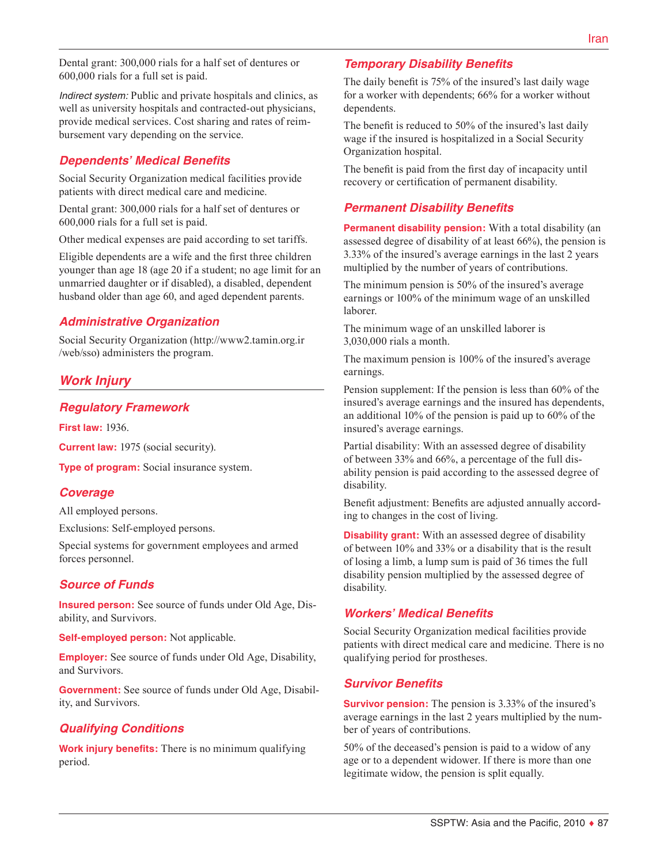Dental grant: 300,000 rials for a half set of dentures or 600,000 rials for a full set is paid.

*Indirect system:* Public and private hospitals and clinics, as well as university hospitals and contracted-out physicians, provide medical services. Cost sharing and rates of reimbursement vary depending on the service.

## *Dependents' Medical Benefits*

Social Security Organization medical facilities provide patients with direct medical care and medicine.

Dental grant: 300,000 rials for a half set of dentures or 600,000 rials for a full set is paid.

Other medical expenses are paid according to set tariffs.

Eligible dependents are a wife and the first three children younger than age 18 (age 20 if a student; no age limit for an unmarried daughter or if disabled), a disabled, dependent husband older than age 60, and aged dependent parents.

## *Administrative Organization*

Social Security Organization ([http://www2.tamin.org.ir](http://www2.tamin.org.ir/web/sso) [/web/sso](http://www2.tamin.org.ir/web/sso)) administers the program.

# *Work Injury*

## *Regulatory Framework*

**First law:** 1936.

**Current law:** 1975 (social security).

**Type of program:** Social insurance system.

## *Coverage*

All employed persons.

Exclusions: Self-employed persons.

Special systems for government employees and armed forces personnel.

## *Source of Funds*

**Insured person:** See source of funds under Old Age, Disability, and Survivors.

**Self-employed person:** Not applicable.

**Employer:** See source of funds under Old Age, Disability, and Survivors.

**Government:** See source of funds under Old Age, Disability, and Survivors.

## *Qualifying Conditions*

**Work injury benefits:** There is no minimum qualifying period.

## *Temporary Disability Benefits*

The daily benefit is 75% of the insured's last daily wage for a worker with dependents; 66% for a worker without dependents.

The benefit is reduced to 50% of the insured's last daily wage if the insured is hospitalized in a Social Security Organization hospital.

The benefit is paid from the first day of incapacity until recovery or certification of permanent disability.

## *Permanent Disability Benefits*

**Permanent disability pension:** With a total disability (an assessed degree of disability of at least 66%), the pension is 3.33% of the insured's average earnings in the last 2 years multiplied by the number of years of contributions.

The minimum pension is 50% of the insured's average earnings or 100% of the minimum wage of an unskilled laborer.

The minimum wage of an unskilled laborer is 3,030,000 rials a month.

The maximum pension is 100% of the insured's average earnings.

Pension supplement: If the pension is less than 60% of the insured's average earnings and the insured has dependents, an additional 10% of the pension is paid up to 60% of the insured's average earnings.

Partial disability: With an assessed degree of disability of between 33% and 66%, a percentage of the full disability pension is paid according to the assessed degree of disability.

Benefit adjustment: Benefits are adjusted annually according to changes in the cost of living.

**Disability grant:** With an assessed degree of disability of between 10% and 33% or a disability that is the result of losing a limb, a lump sum is paid of 36 times the full disability pension multiplied by the assessed degree of disability.

## *Workers' Medical Benefits*

Social Security Organization medical facilities provide patients with direct medical care and medicine. There is no qualifying period for prostheses.

#### *Survivor Benefits*

**Survivor pension:** The pension is 3.33% of the insured's average earnings in the last 2 years multiplied by the number of years of contributions.

50% of the deceased's pension is paid to a widow of any age or to a dependent widower. If there is more than one legitimate widow, the pension is split equally.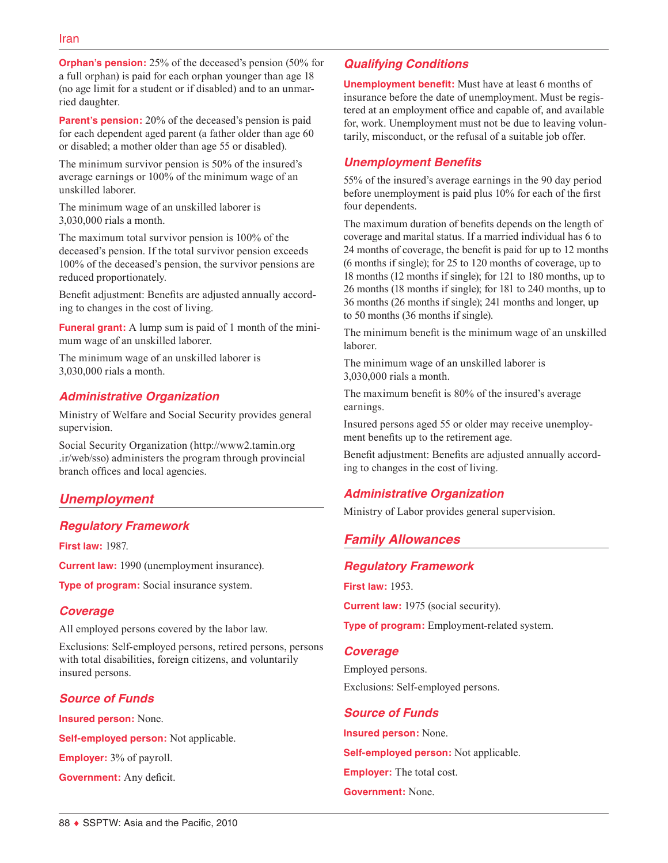**Orphan's pension:** 25% of the deceased's pension (50% for a full orphan) is paid for each orphan younger than age 18 (no age limit for a student or if disabled) and to an unmarried daughter.

**Parent's pension:** 20% of the deceased's pension is paid for each dependent aged parent (a father older than age 60 or disabled; a mother older than age 55 or disabled).

The minimum survivor pension is 50% of the insured's average earnings or 100% of the minimum wage of an unskilled laborer.

The minimum wage of an unskilled laborer is 3,030,000 rials a month.

The maximum total survivor pension is 100% of the deceased's pension. If the total survivor pension exceeds 100% of the deceased's pension, the survivor pensions are reduced proportionately.

Benefit adjustment: Benefits are adjusted annually according to changes in the cost of living.

**Funeral grant:** A lump sum is paid of 1 month of the minimum wage of an unskilled laborer.

The minimum wage of an unskilled laborer is 3,030,000 rials a month.

## *Administrative Organization*

Ministry of Welfare and Social Security provides general supervision.

Social Security Organization ([http://www2.tamin.org](http://www2.tamin.org.ir/web/sso) [.ir/web/sso\)](http://www2.tamin.org.ir/web/sso) administers the program through provincial branch offices and local agencies.

# *Unemployment*

## *Regulatory Framework*

**First law:** 1987.

**Current law:** 1990 (unemployment insurance).

**Type of program:** Social insurance system.

## *Coverage*

All employed persons covered by the labor law.

Exclusions: Self-employed persons, retired persons, persons with total disabilities, foreign citizens, and voluntarily insured persons.

# *Source of Funds*

**Insured person:** None.

**Self-employed person:** Not applicable.

**Employer:** 3% of payroll.

**Government:** Any deficit.

# *Qualifying Conditions*

**Unemployment benefit:** Must have at least 6 months of insurance before the date of unemployment. Must be registered at an employment office and capable of, and available for, work. Unemployment must not be due to leaving voluntarily, misconduct, or the refusal of a suitable job offer.

## *Unemployment Benefits*

55% of the insured's average earnings in the 90 day period before unemployment is paid plus 10% for each of the first four dependents.

The maximum duration of benefits depends on the length of coverage and marital status. If a married individual has 6 to 24 months of coverage, the benefit is paid for up to 12 months (6 months if single); for 25 to 120 months of coverage, up to 18 months (12 months if single); for 121 to 180 months, up to 26 months (18 months if single); for 181 to 240 months, up to 36 months (26 months if single); 241 months and longer, up to 50 months (36 months if single).

The minimum benefit is the minimum wage of an unskilled laborer.

The minimum wage of an unskilled laborer is 3,030,000 rials a month.

The maximum benefit is 80% of the insured's average earnings.

Insured persons aged 55 or older may receive unemployment benefits up to the retirement age.

Benefit adjustment: Benefits are adjusted annually according to changes in the cost of living.

# *Administrative Organization*

Ministry of Labor provides general supervision.

# *Family Allowances*

## *Regulatory Framework*

**First law:** 1953.

**Current law:** 1975 (social security).

**Type of program:** Employment-related system.

#### *Coverage*

Employed persons. Exclusions: Self-employed persons.

## *Source of Funds*

**Insured person:** None. **Self-employed person:** Not applicable. **Employer:** The total cost. **Government:** None.